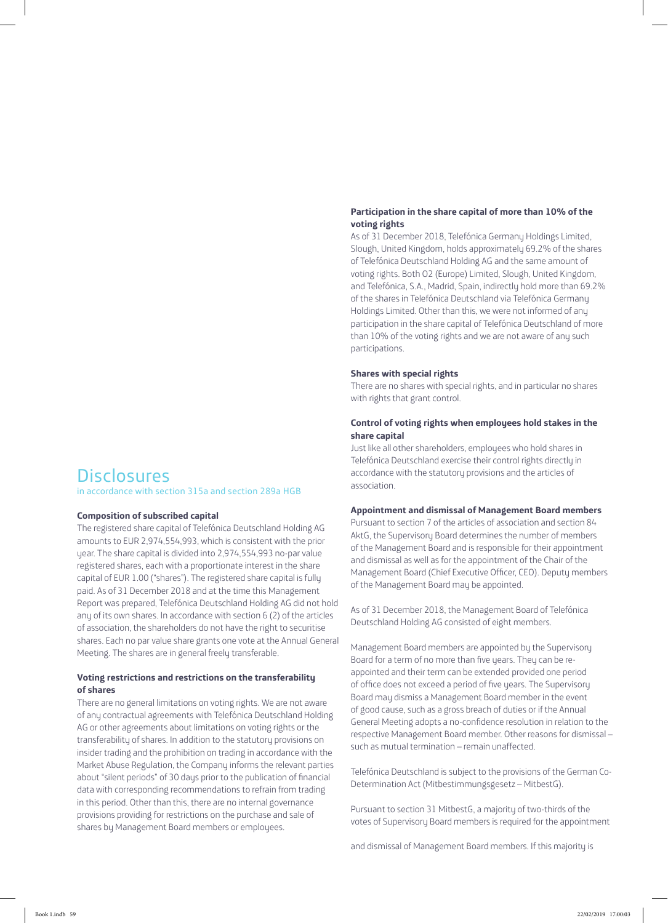# **Disclosures**

in accordance with section 315a and section 289a HGB

#### **Composition of subscribed capital**

The registered share capital of Telefónica Deutschland Holding AG amounts to EUR 2,974,554,993, which is consistent with the prior year. The share capital is divided into 2,974,554,993 no-par value registered shares, each with a proportionate interest in the share capital of EUR 1.00 ("shares"). The registered share capital is fully paid. As of 31 December 2018 and at the time this Management Report was prepared, Telefónica Deutschland Holding AG did not hold any of its own shares. In accordance with section 6 (2) of the articles of association, the shareholders do not have the right to securitise shares. Each no par value share grants one vote at the Annual General Meeting. The shares are in general freely transferable.

# **Voting restrictions and restrictions on the transferability of shares**

There are no general limitations on voting rights. We are not aware of any contractual agreements with Telefónica Deutschland Holding AG or other agreements about limitations on voting rights or the transferability of shares. In addition to the statutory provisions on insider trading and the prohibition on trading in accordance with the Market Abuse Regulation, the Company informs the relevant parties about "silent periods" of 30 days prior to the publication of financial data with corresponding recommendations to refrain from trading in this period. Other than this, there are no internal governance provisions providing for restrictions on the purchase and sale of shares by Management Board members or employees.

# **Participation in the share capital of more than 10% of the voting rights**

As of 31 December 2018, Telefónica Germany Holdings Limited, Slough, United Kingdom, holds approximately 69.2% of the shares of Telefónica Deutschland Holding AG and the same amount of voting rights. Both O2 (Europe) Limited, Slough, United Kingdom, and Telefónica, S.A., Madrid, Spain, indirectly hold more than 69.2% of the shares in Telefónica Deutschland via Telefónica Germany Holdings Limited. Other than this, we were not informed of any participation in the share capital of Telefónica Deutschland of more than 10% of the voting rights and we are not aware of any such participations.

#### **Shares with special rights**

There are no shares with special rights, and in particular no shares with rights that grant control.

# **Control of voting rights when employees hold stakes in the share capital**

Just like all other shareholders, employees who hold shares in Telefónica Deutschland exercise their control rights directly in accordance with the statutory provisions and the articles of association.

## **Appointment and dismissal of Management Board members**

Pursuant to section 7 of the articles of association and section 84 AktG, the Supervisoru Board determines the number of members of the Management Board and is responsible for their appointment and dismissal as well as for the appointment of the Chair of the Management Board (Chief Executive Officer, CEO). Deputy members of the Management Board may be appointed.

As of 31 December 2018, the Management Board of Telefónica Deutschland Holding AG consisted of eight members.

Management Board members are appointed by the Supervisory Board for a term of no more than five years. They can be reappointed and their term can be extended provided one period of office does not exceed a period of five years. The Supervisory Board may dismiss a Management Board member in the event of good cause, such as a gross breach of duties or if the Annual General Meeting adopts a no-confidence resolution in relation to the respective Management Board member. Other reasons for dismissal – such as mutual termination – remain unaffected.

Telefónica Deutschland is subject to the provisions of the German Co-Determination Act (Mitbestimmungsgesetz – MitbestG).

Pursuant to section 31 MitbestG, a majority of two-thirds of the votes of Supervisory Board members is required for the appointment

and dismissal of Management Board members. If this majority is